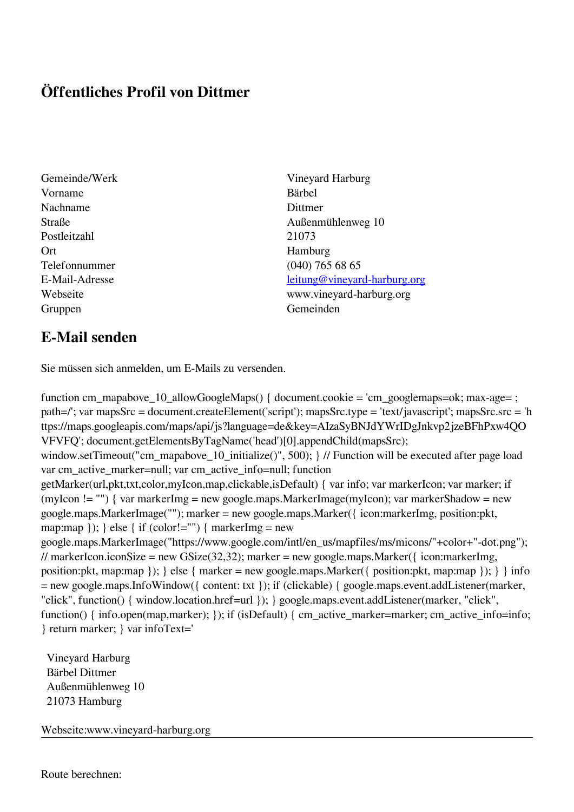## **Öffentliches Profil von Dittmer**

- Vorname Bärbel Nachname Dittmer Postleitzahl 21073 Ort Hamburg Telefonnummer (040) 765 68 65 Gruppen Gemeinden Gemeinden Gemeinden Gemeinden Gemeinden Gemeinden Gemeinden Gemeinden Gemeinden Gemeinden G
- Gemeinde/Werk Vineyard Harburg Straße Außenmühlenweg 10 E-Mail-Adresse [leitung@vineyard-harburg.org](mailto:leitung@vineyard-harburg.org) Webseite www.vineyard-harburg.org

## **E-Mail senden**

Sie müssen sich anmelden, um E-Mails zu versenden.

function cm\_mapabove\_10\_allowGoogleMaps() { document.cookie = 'cm\_googlemaps=ok; max-age= ; path=/'; var mapsSrc = document.createElement('script'); mapsSrc.type = 'text/javascript'; mapsSrc.src = 'h ttps://maps.googleapis.com/maps/api/js?language=de&key=AIzaSyBNJdYWrIDgJnkvp2jzeBFhPxw4QO VFVFQ'; document.getElementsByTagName('head')[0].appendChild(mapsSrc); window.setTimeout("cm\_mapabove\_10\_initialize()", 500); } // Function will be executed after page load var cm\_active\_marker=null; var cm\_active\_info=null; function getMarker(url,pkt,txt,color,myIcon,map,clickable,isDefault) { var info; var markerIcon; var marker; if (myIcon != "") { var markerImg = new google.maps.MarkerImage(myIcon); var markerShadow = new google.maps.MarkerImage(""); marker = new google.maps.Marker({ icon:markerImg, position:pkt, map:map  $\}$ ;  $\}$  else  $\{$  if (color!="")  $\{$  markerImg = new google.maps.MarkerImage("https://www.google.com/intl/en\_us/mapfiles/ms/micons/"+color+"-dot.png"); // markerIcon.iconSize = new GSize(32,32); marker = new google.maps.Marker({ $i$ con:markerImg, position:pkt, map:map }); } else { marker = new google.maps.Marker({ position:pkt, map:map }); } } info = new google.maps.InfoWindow({ content: txt }); if (clickable) { google.maps.event.addListener(marker, "click", function() { window.location.href=url }); } google.maps.event.addListener(marker, "click", function() { info.open(map,marker); }); if (isDefault) { cm\_active\_marker=marker; cm\_active\_info=info; } return marker; } var infoText='

 Vineyard Harburg Bärbel Dittmer Außenmühlenweg 10 21073 Hamburg

Webseite:www.vineyard-harburg.org